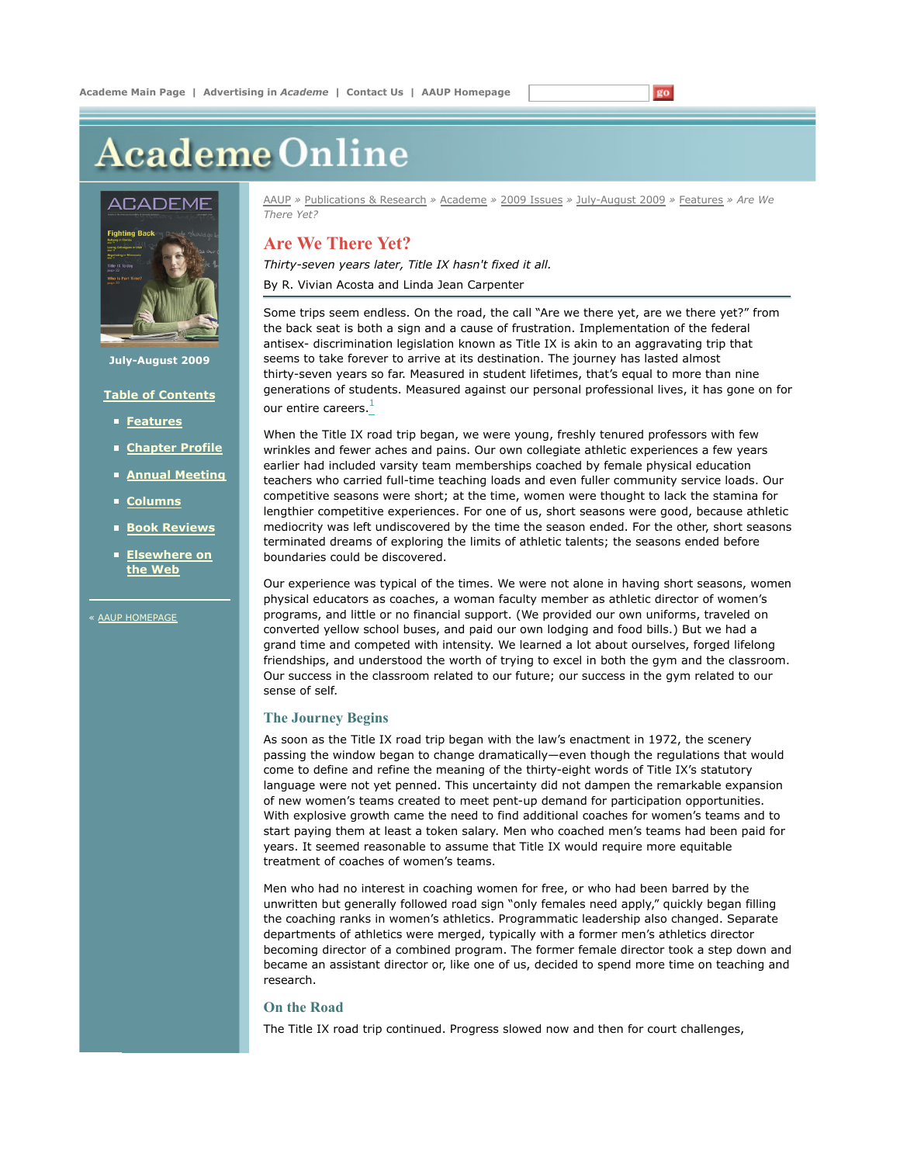## go

# **Academe Online**



**July-August 2009**

#### **Table of Contents**

- **Features**
- **Chapter Profile**
- **Annual Meeting**
- **Columns**
- **Book Reviews**
- **Elsewhere on the Web**

« AAUP HOMEPAGE

AAUP *»* Publications & Research *»* Academe *»* 2009 Issues *»* July-August 2009 *»* Features *» Are We There Yet?*

# **Are We There Yet?**

*Thirty-seven years later, Title IX hasn't fixed it all.* By R. Vivian Acosta and Linda Jean Carpenter

Some trips seem endless. On the road, the call "Are we there yet, are we there yet?" from the back seat is both a sign and a cause of frustration. Implementation of the federal antisex- discrimination legislation known as Title IX is akin to an aggravating trip that seems to take forever to arrive at its destination. The journey has lasted almost thirty-seven years so far. Measured in student lifetimes, that's equal to more than nine generations of students. Measured against our personal professional lives, it has gone on for our entire careers. $<sup>1</sup>$ </sup>

When the Title IX road trip began, we were young, freshly tenured professors with few wrinkles and fewer aches and pains. Our own collegiate athletic experiences a few years earlier had included varsity team memberships coached by female physical education teachers who carried full-time teaching loads and even fuller community service loads. Our competitive seasons were short; at the time, women were thought to lack the stamina for lengthier competitive experiences. For one of us, short seasons were good, because athletic mediocrity was left undiscovered by the time the season ended. For the other, short seasons terminated dreams of exploring the limits of athletic talents; the seasons ended before boundaries could be discovered.

Our experience was typical of the times. We were not alone in having short seasons, women physical educators as coaches, a woman faculty member as athletic director of women's programs, and little or no financial support. (We provided our own uniforms, traveled on converted yellow school buses, and paid our own lodging and food bills.) But we had a grand time and competed with intensity. We learned a lot about ourselves, forged lifelong friendships, and understood the worth of trying to excel in both the gym and the classroom. Our success in the classroom related to our future; our success in the gym related to our sense of self.

## **The Journey Begins**

As soon as the Title IX road trip began with the law's enactment in 1972, the scenery passing the window began to change dramatically—even though the regulations that would come to define and refine the meaning of the thirty-eight words of Title IX's statutory language were not yet penned. This uncertainty did not dampen the remarkable expansion of new women's teams created to meet pent-up demand for participation opportunities. With explosive growth came the need to find additional coaches for women's teams and to start paying them at least a token salary. Men who coached men's teams had been paid for years. It seemed reasonable to assume that Title IX would require more equitable treatment of coaches of women's teams.

Men who had no interest in coaching women for free, or who had been barred by the unwritten but generally followed road sign "only females need apply," quickly began filling the coaching ranks in women's athletics. Programmatic leadership also changed. Separate departments of athletics were merged, typically with a former men's athletics director becoming director of a combined program. The former female director took a step down and became an assistant director or, like one of us, decided to spend more time on teaching and research.

# **On the Road**

The Title IX road trip continued. Progress slowed now and then for court challenges,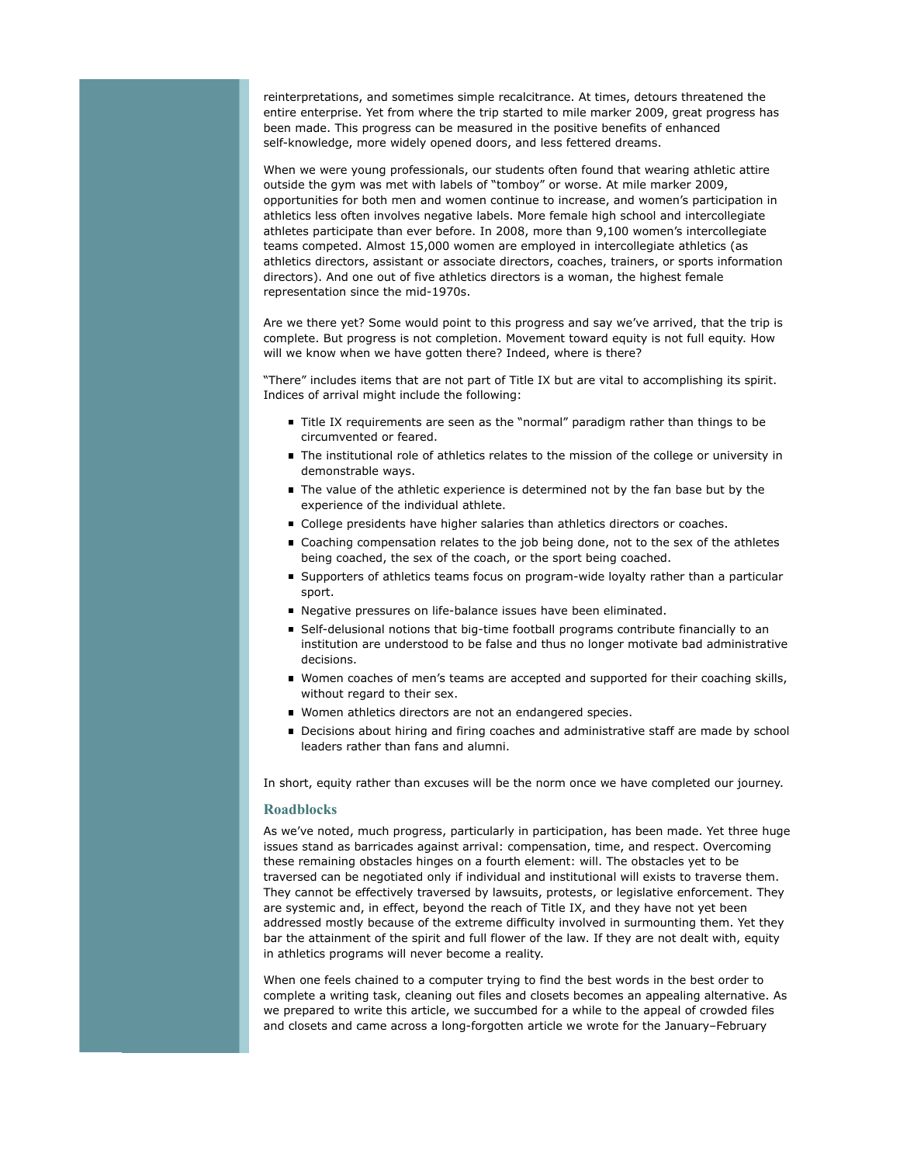reinterpretations, and sometimes simple recalcitrance. At times, detours threatened the entire enterprise. Yet from where the trip started to mile marker 2009, great progress has been made. This progress can be measured in the positive benefits of enhanced self-knowledge, more widely opened doors, and less fettered dreams.

When we were young professionals, our students often found that wearing athletic attire outside the gym was met with labels of "tomboy" or worse. At mile marker 2009, opportunities for both men and women continue to increase, and women's participation in athletics less often involves negative labels. More female high school and intercollegiate athletes participate than ever before. In 2008, more than 9,100 women's intercollegiate teams competed. Almost 15,000 women are employed in intercollegiate athletics (as athletics directors, assistant or associate directors, coaches, trainers, or sports information directors). And one out of five athletics directors is a woman, the highest female representation since the mid-1970s.

Are we there yet? Some would point to this progress and say we've arrived, that the trip is complete. But progress is not completion. Movement toward equity is not full equity. How will we know when we have gotten there? Indeed, where is there?

"There" includes items that are not part of Title IX but are vital to accomplishing its spirit. Indices of arrival might include the following:

- Title IX requirements are seen as the "normal" paradigm rather than things to be circumvented or feared.
- The institutional role of athletics relates to the mission of the college or university in demonstrable ways.
- The value of the athletic experience is determined not by the fan base but by the experience of the individual athlete.
- College presidents have higher salaries than athletics directors or coaches.
- Coaching compensation relates to the job being done, not to the sex of the athletes being coached, the sex of the coach, or the sport being coached.
- Supporters of athletics teams focus on program-wide loyalty rather than a particular sport.
- Negative pressures on life-balance issues have been eliminated.
- Self-delusional notions that big-time football programs contribute financially to an institution are understood to be false and thus no longer motivate bad administrative decisions.
- Women coaches of men's teams are accepted and supported for their coaching skills, without regard to their sex.
- Women athletics directors are not an endangered species.
- Decisions about hiring and firing coaches and administrative staff are made by school leaders rather than fans and alumni.

In short, equity rather than excuses will be the norm once we have completed our journey.

#### **Roadblocks**

As we've noted, much progress, particularly in participation, has been made. Yet three huge issues stand as barricades against arrival: compensation, time, and respect. Overcoming these remaining obstacles hinges on a fourth element: will. The obstacles yet to be traversed can be negotiated only if individual and institutional will exists to traverse them. They cannot be effectively traversed by lawsuits, protests, or legislative enforcement. They are systemic and, in effect, beyond the reach of Title IX, and they have not yet been addressed mostly because of the extreme difficulty involved in surmounting them. Yet they bar the attainment of the spirit and full flower of the law. If they are not dealt with, equity in athletics programs will never become a reality.

When one feels chained to a computer trying to find the best words in the best order to complete a writing task, cleaning out files and closets becomes an appealing alternative. As we prepared to write this article, we succumbed for a while to the appeal of crowded files and closets and came across a long-forgotten article we wrote for the January–February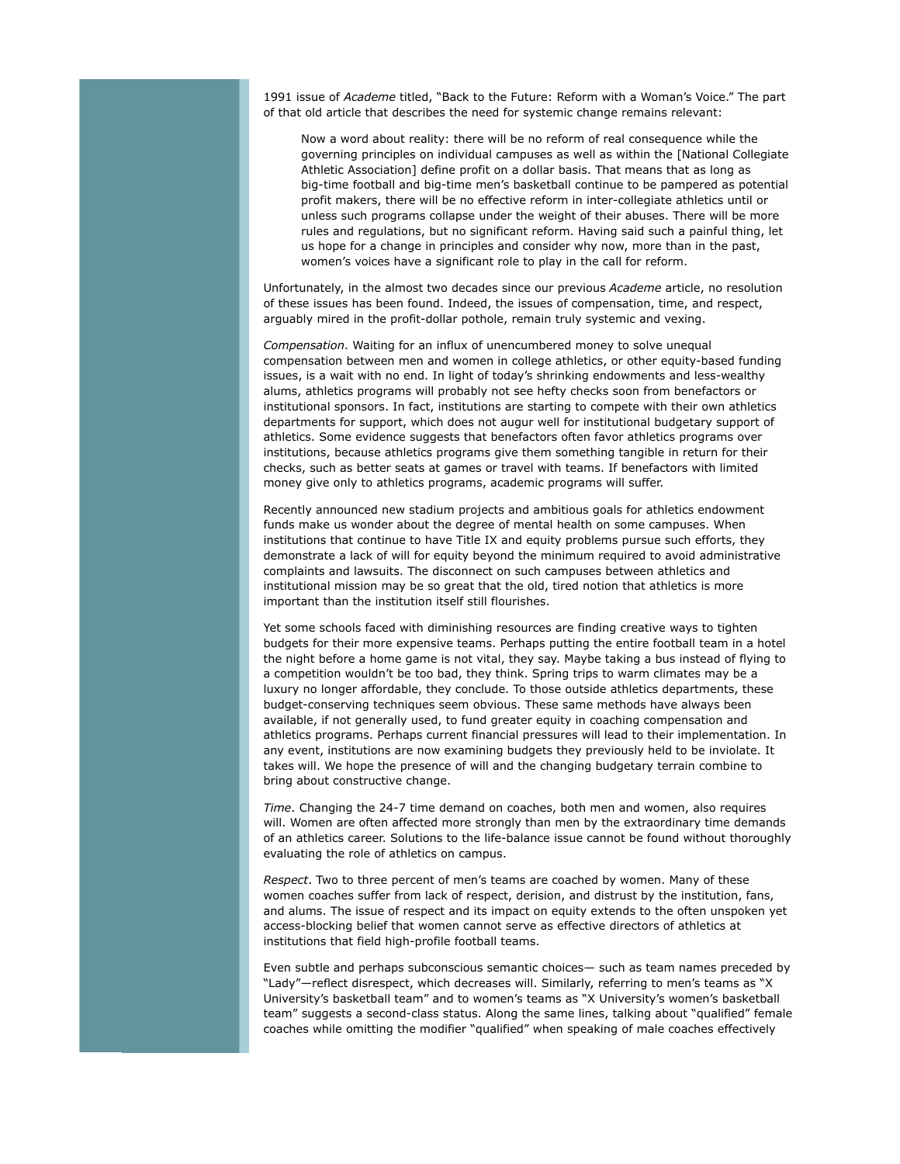1991 issue of *Academe* titled, "Back to the Future: Reform with a Woman's Voice." The part of that old article that describes the need for systemic change remains relevant:

Now a word about reality: there will be no reform of real consequence while the governing principles on individual campuses as well as within the [National Collegiate Athletic Association] define profit on a dollar basis. That means that as long as big-time football and big-time men's basketball continue to be pampered as potential profit makers, there will be no effective reform in inter-collegiate athletics until or unless such programs collapse under the weight of their abuses. There will be more rules and regulations, but no significant reform. Having said such a painful thing, let us hope for a change in principles and consider why now, more than in the past, women's voices have a significant role to play in the call for reform.

Unfortunately, in the almost two decades since our previous *Academe* article, no resolution of these issues has been found. Indeed, the issues of compensation, time, and respect, arguably mired in the profit-dollar pothole, remain truly systemic and vexing.

*Compensation*. Waiting for an influx of unencumbered money to solve unequal compensation between men and women in college athletics, or other equity-based funding issues, is a wait with no end. In light of today's shrinking endowments and less-wealthy alums, athletics programs will probably not see hefty checks soon from benefactors or institutional sponsors. In fact, institutions are starting to compete with their own athletics departments for support, which does not augur well for institutional budgetary support of athletics. Some evidence suggests that benefactors often favor athletics programs over institutions, because athletics programs give them something tangible in return for their checks, such as better seats at games or travel with teams. If benefactors with limited money give only to athletics programs, academic programs will suffer.

Recently announced new stadium projects and ambitious goals for athletics endowment funds make us wonder about the degree of mental health on some campuses. When institutions that continue to have Title IX and equity problems pursue such efforts, they demonstrate a lack of will for equity beyond the minimum required to avoid administrative complaints and lawsuits. The disconnect on such campuses between athletics and institutional mission may be so great that the old, tired notion that athletics is more important than the institution itself still flourishes.

Yet some schools faced with diminishing resources are finding creative ways to tighten budgets for their more expensive teams. Perhaps putting the entire football team in a hotel the night before a home game is not vital, they say. Maybe taking a bus instead of flying to a competition wouldn't be too bad, they think. Spring trips to warm climates may be a luxury no longer affordable, they conclude. To those outside athletics departments, these budget-conserving techniques seem obvious. These same methods have always been available, if not generally used, to fund greater equity in coaching compensation and athletics programs. Perhaps current financial pressures will lead to their implementation. In any event, institutions are now examining budgets they previously held to be inviolate. It takes will. We hope the presence of will and the changing budgetary terrain combine to bring about constructive change.

*Time*. Changing the 24-7 time demand on coaches, both men and women, also requires will. Women are often affected more strongly than men by the extraordinary time demands of an athletics career. Solutions to the life-balance issue cannot be found without thoroughly evaluating the role of athletics on campus.

*Respect*. Two to three percent of men's teams are coached by women. Many of these women coaches suffer from lack of respect, derision, and distrust by the institution, fans, and alums. The issue of respect and its impact on equity extends to the often unspoken yet access-blocking belief that women cannot serve as effective directors of athletics at institutions that field high-profile football teams.

Even subtle and perhaps subconscious semantic choices— such as team names preceded by "Lady"—reflect disrespect, which decreases will. Similarly, referring to men's teams as "X University's basketball team" and to women's teams as "X University's women's basketball team" suggests a second-class status. Along the same lines, talking about "qualified" female coaches while omitting the modifier "qualified" when speaking of male coaches effectively